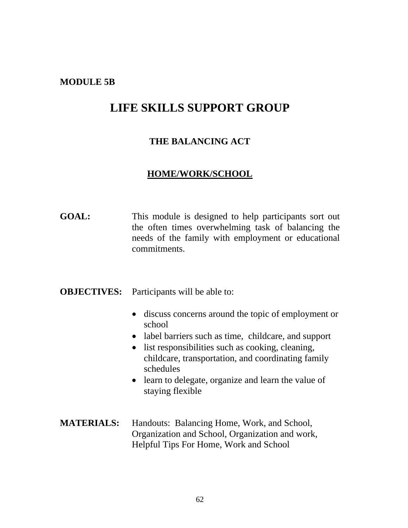### **MODULE 5B**

## **LIFE SKILLS SUPPORT GROUP**

### **THE BALANCING ACT**

### **HOME/WORK/SCHOOL**

**GOAL:** This module is designed to help participants sort out the often times overwhelming task of balancing the needs of the family with employment or educational commitments.

#### **OBJECTIVES:** Participants will be able to:

- discuss concerns around the topic of employment or school
- label barriers such as time, childcare, and support
- list responsibilities such as cooking, cleaning, childcare, transportation, and coordinating family schedules
- learn to delegate, organize and learn the value of staying flexible
- **MATERIALS:** Handouts: Balancing Home, Work, and School, Organization and School, Organization and work, Helpful Tips For Home, Work and School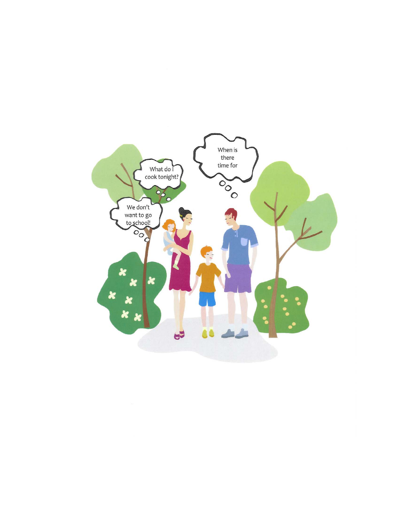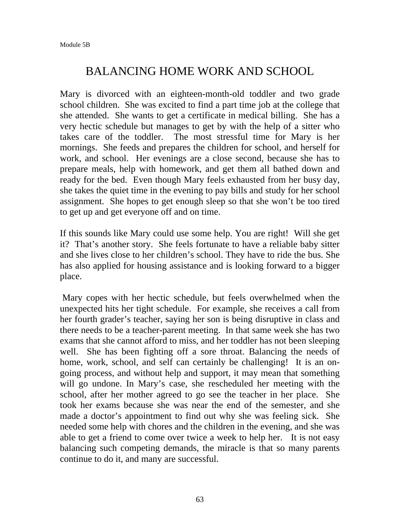# BALANCING HOME WORK AND SCHOOL

Mary is divorced with an eighteen-month-old toddler and two grade school children. She was excited to find a part time job at the college that she attended. She wants to get a certificate in medical billing. She has a very hectic schedule but manages to get by with the help of a sitter who takes care of the toddler. The most stressful time for Mary is her mornings. She feeds and prepares the children for school, and herself for work, and school. Her evenings are a close second, because she has to prepare meals, help with homework, and get them all bathed down and ready for the bed. Even though Mary feels exhausted from her busy day, she takes the quiet time in the evening to pay bills and study for her school assignment. She hopes to get enough sleep so that she won't be too tired to get up and get everyone off and on time.

If this sounds like Mary could use some help. You are right! Will she get it? That's another story. She feels fortunate to have a reliable baby sitter and she lives close to her children's school. They have to ride the bus. She has also applied for housing assistance and is looking forward to a bigger place.

 Mary copes with her hectic schedule, but feels overwhelmed when the unexpected hits her tight schedule. For example, she receives a call from her fourth grader's teacher, saying her son is being disruptive in class and there needs to be a teacher-parent meeting. In that same week she has two exams that she cannot afford to miss, and her toddler has not been sleeping well. She has been fighting off a sore throat. Balancing the needs of home, work, school, and self can certainly be challenging! It is an ongoing process, and without help and support, it may mean that something will go undone. In Mary's case, she rescheduled her meeting with the school, after her mother agreed to go see the teacher in her place. She took her exams because she was near the end of the semester, and she made a doctor's appointment to find out why she was feeling sick. She needed some help with chores and the children in the evening, and she was able to get a friend to come over twice a week to help her. It is not easy balancing such competing demands, the miracle is that so many parents continue to do it, and many are successful.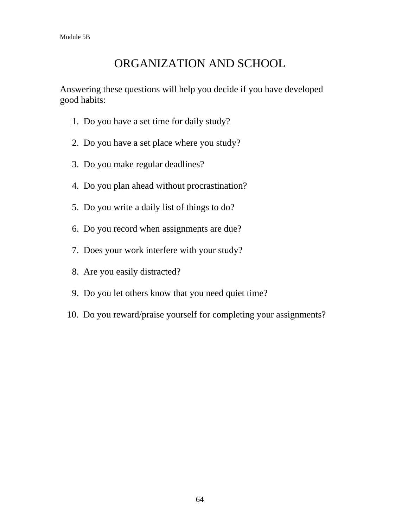# ORGANIZATION AND SCHOOL

Answering these questions will help you decide if you have developed good habits:

- 1. Do you have a set time for daily study?
- 2. Do you have a set place where you study?
- 3. Do you make regular deadlines?
- 4. Do you plan ahead without procrastination?
- 5. Do you write a daily list of things to do?
- 6. Do you record when assignments are due?
- 7. Does your work interfere with your study?
- 8. Are you easily distracted?
- 9. Do you let others know that you need quiet time?
- 10. Do you reward/praise yourself for completing your assignments?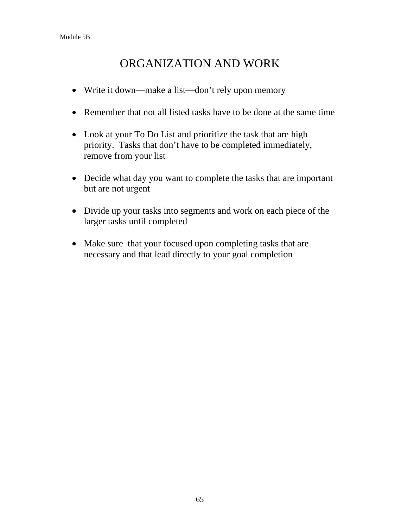# ORGANIZATION AND WORK

- Write it down—make a list—don't rely upon memory
- Remember that not all listed tasks have to be done at the same time
- Look at your To Do List and prioritize the task that are high priority. Tasks that don't have to be completed immediately, remove from your list
- Decide what day you want to complete the tasks that are important but are not urgent
- Divide up your tasks into segments and work on each piece of the larger tasks until completed
- Make sure that your focused upon completing tasks that are necessary and that lead directly to your goal completion